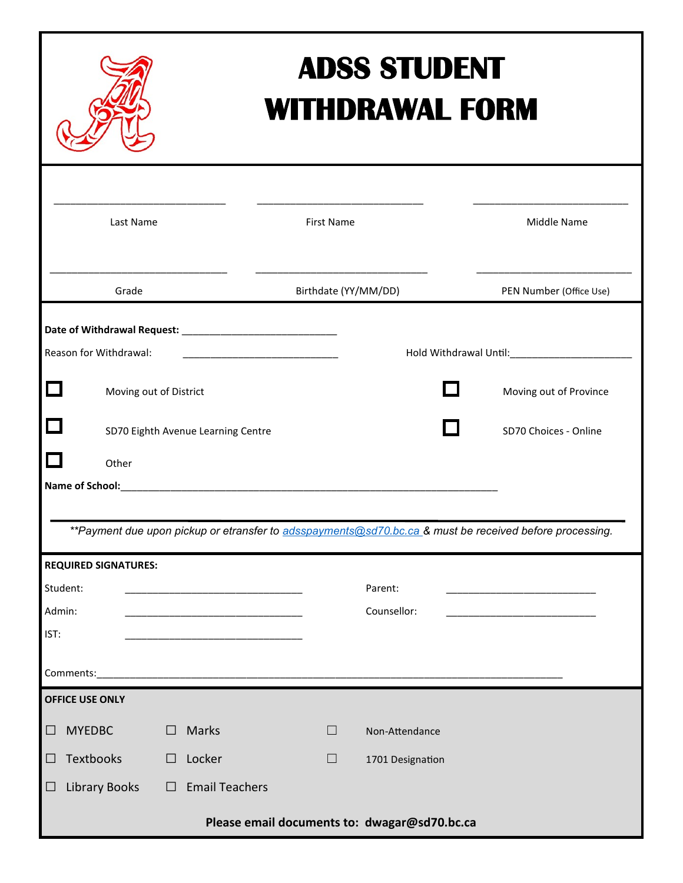| <b>ADSS STUDENT</b><br><b>WITHDRAWAL FORM</b>                                                                         |                                    |        |                       |                      |        |                  |                         |  |
|-----------------------------------------------------------------------------------------------------------------------|------------------------------------|--------|-----------------------|----------------------|--------|------------------|-------------------------|--|
|                                                                                                                       | Last Name                          |        |                       | <b>First Name</b>    |        |                  | Middle Name             |  |
|                                                                                                                       | Grade                              |        |                       | Birthdate (YY/MM/DD) |        |                  | PEN Number (Office Use) |  |
| Reason for Withdrawal:                                                                                                |                                    |        |                       |                      |        |                  |                         |  |
| $\Box$                                                                                                                | Moving out of District             |        |                       |                      |        | <b>Tara</b>      | Moving out of Province  |  |
| $\Box$                                                                                                                | SD70 Eighth Avenue Learning Centre |        |                       |                      |        |                  | SD70 Choices - Online   |  |
| П<br>Other<br>**Payment due upon pickup or etransfer to adsspayments@sd70.bc.ca & must be received before processing. |                                    |        |                       |                      |        |                  |                         |  |
| <b>REQUIRED SIGNATURES:</b>                                                                                           |                                    |        |                       |                      |        |                  |                         |  |
| Student:                                                                                                              |                                    |        |                       |                      |        | Parent:          |                         |  |
| Admin:<br>IST:<br>Comments:                                                                                           |                                    |        |                       |                      |        | Counsellor:      |                         |  |
| <b>OFFICE USE ONLY</b>                                                                                                |                                    |        |                       |                      |        |                  |                         |  |
| <b>MYEDBC</b><br>$\Box$                                                                                               |                                    | $\Box$ | Marks                 |                      | $\Box$ | Non-Attendance   |                         |  |
| Textbooks<br>⊔                                                                                                        |                                    | $\Box$ | Locker                |                      | $\Box$ | 1701 Designation |                         |  |
| ⊔                                                                                                                     | <b>Library Books</b>               | $\Box$ | <b>Email Teachers</b> |                      |        |                  |                         |  |
| Please email documents to: dwagar@sd70.bc.ca                                                                          |                                    |        |                       |                      |        |                  |                         |  |